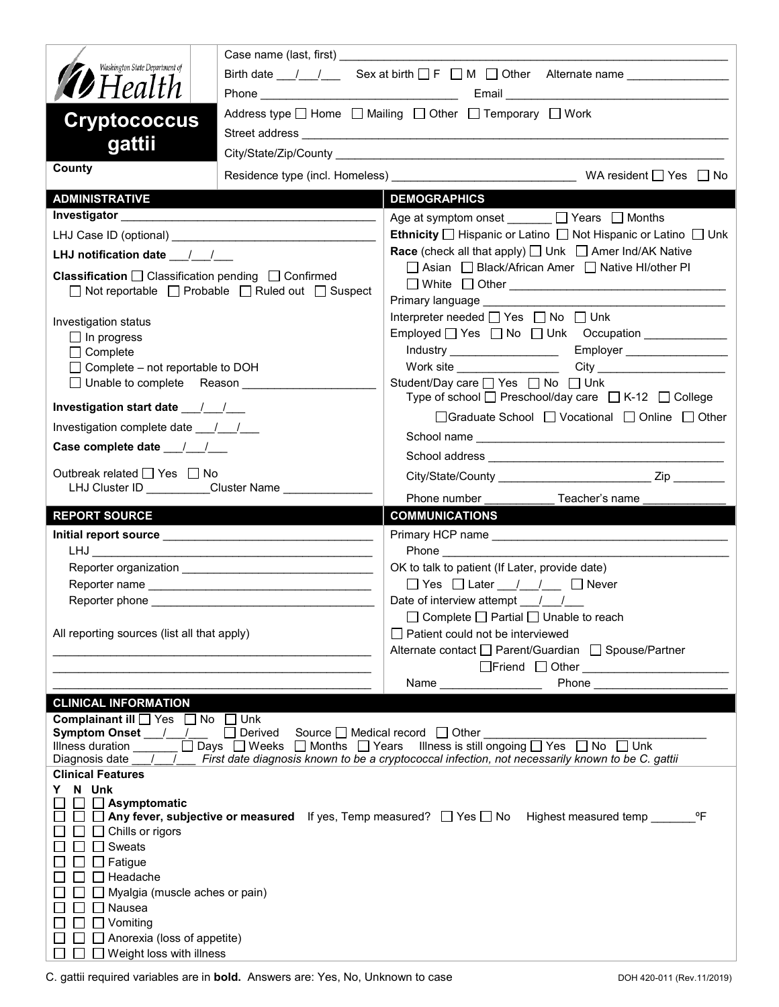| Washington State Department of                                                                                                                                                                                                | Birth date __/ __/ ___ Sex at birth __ F __ M ___ Other Alternate name _______________                              |  |  |
|-------------------------------------------------------------------------------------------------------------------------------------------------------------------------------------------------------------------------------|---------------------------------------------------------------------------------------------------------------------|--|--|
| <b>19</b> Health                                                                                                                                                                                                              |                                                                                                                     |  |  |
|                                                                                                                                                                                                                               | Address type $\Box$ Home $\Box$ Mailing $\Box$ Other $\Box$ Temporary $\Box$ Work                                   |  |  |
| <b>Cryptococcus</b>                                                                                                                                                                                                           |                                                                                                                     |  |  |
| gattii                                                                                                                                                                                                                        |                                                                                                                     |  |  |
| County                                                                                                                                                                                                                        |                                                                                                                     |  |  |
| <b>ADMINISTRATIVE</b>                                                                                                                                                                                                         | <b>DEMOGRAPHICS</b>                                                                                                 |  |  |
|                                                                                                                                                                                                                               | Age at symptom onset ______ □ Years □ Months                                                                        |  |  |
|                                                                                                                                                                                                                               | <b>Ethnicity</b> $\Box$ Hispanic or Latino $\Box$ Not Hispanic or Latino $\Box$ Unk                                 |  |  |
| LHJ notification date $\frac{1}{\sqrt{2}}$                                                                                                                                                                                    | <b>Race</b> (check all that apply) $\Box$ Unk $\Box$ Amer Ind/AK Native                                             |  |  |
| <b>Classification</b> $\Box$ Classification pending $\Box$ Confirmed                                                                                                                                                          | □ Asian □ Black/African Amer □ Native HI/other PI                                                                   |  |  |
| $\Box$ Not reportable $\Box$ Probable $\Box$ Ruled out $\Box$ Suspect                                                                                                                                                         | Primary language ______________                                                                                     |  |  |
|                                                                                                                                                                                                                               | Interpreter needed $\Box$ Yes $\Box$ No $\Box$ Unk                                                                  |  |  |
| Investigation status<br>$\Box$ In progress                                                                                                                                                                                    | Employed Yes No Unk Occupation                                                                                      |  |  |
| $\Box$ Complete                                                                                                                                                                                                               | Employer ____________________<br>Industry ____________________                                                      |  |  |
| $\Box$ Complete – not reportable to DOH                                                                                                                                                                                       | Work site $\_$<br>City <b>Called Structure City</b>                                                                 |  |  |
| □ Unable to complete Reason ___________                                                                                                                                                                                       | Student/Day care □ Yes □ No □ Unk<br>Type of school $\Box$ Preschool/day care $\Box$ K-12 $\Box$ College            |  |  |
| Investigation start date 11                                                                                                                                                                                                   | □Graduate School □ Vocational □ Online □ Other                                                                      |  |  |
| Investigation complete date 11/1                                                                                                                                                                                              |                                                                                                                     |  |  |
|                                                                                                                                                                                                                               |                                                                                                                     |  |  |
| Outbreak related □ Yes □ No                                                                                                                                                                                                   |                                                                                                                     |  |  |
| LHJ Cluster ID __________Cluster Name ___________                                                                                                                                                                             |                                                                                                                     |  |  |
|                                                                                                                                                                                                                               | Phone number <b>Example</b><br>Teacher's name                                                                       |  |  |
|                                                                                                                                                                                                                               |                                                                                                                     |  |  |
| <b>REPORT SOURCE</b>                                                                                                                                                                                                          | <b>COMMUNICATIONS</b>                                                                                               |  |  |
| LHJ DIREKT DIREKT DIREKT DIREKT DIREKT DIREKT DIREKT DIREKT DIREKT DIREKT DIREKT DIREKT DIREKT DIRE                                                                                                                           | <b>Phone Contract Contract Phone</b>                                                                                |  |  |
|                                                                                                                                                                                                                               | OK to talk to patient (If Later, provide date)                                                                      |  |  |
|                                                                                                                                                                                                                               | $\Box$ Yes $\Box$ Later $\Box$ / $\Box$ Never                                                                       |  |  |
|                                                                                                                                                                                                                               | Date of interview attempt ___/___/___                                                                               |  |  |
|                                                                                                                                                                                                                               | □ Complete □ Partial □ Unable to reach                                                                              |  |  |
| All reporting sources (list all that apply)                                                                                                                                                                                   | $\Box$ Patient could not be interviewed                                                                             |  |  |
| the control of the control of the control of the control of the control of                                                                                                                                                    | Alternate contact □ Parent/Guardian □ Spouse/Partner                                                                |  |  |
|                                                                                                                                                                                                                               | Phone<br>Name _________________                                                                                     |  |  |
| <b>CLINICAL INFORMATION</b>                                                                                                                                                                                                   |                                                                                                                     |  |  |
| Complainant ill Yes No Unk                                                                                                                                                                                                    |                                                                                                                     |  |  |
| Symptom Onset ___/___/___<br>$\Box$ Derived                                                                                                                                                                                   | Source □ Medical record □ Other                                                                                     |  |  |
| Illness duration <u>Days</u> Days D Weeks D Months D Years Illness is still ongoing D Yes D No D Unk<br>Diagnosis date 1 / / First date diagnosis known to be a cryptococcal infection, not necessarily known to be C. gattii |                                                                                                                     |  |  |
| <b>Clinical Features</b>                                                                                                                                                                                                      |                                                                                                                     |  |  |
| N Unk<br>$\Box$ Asymptomatic                                                                                                                                                                                                  |                                                                                                                     |  |  |
|                                                                                                                                                                                                                               | $^{\circ}$ F<br>□ □ Any fever, subjective or measured If yes, Temp measured? □ Yes □ No Highest measured temp _____ |  |  |
| $\Box$ Chills or rigors                                                                                                                                                                                                       |                                                                                                                     |  |  |
| $\Box$ Sweats<br>$\Box$ Fatigue                                                                                                                                                                                               |                                                                                                                     |  |  |
| $\Box$ Headache                                                                                                                                                                                                               |                                                                                                                     |  |  |
| $\Box$ Myalgia (muscle aches or pain)                                                                                                                                                                                         |                                                                                                                     |  |  |
| $\Box$ Nausea                                                                                                                                                                                                                 |                                                                                                                     |  |  |
| $\Box$ Vomiting<br>$\Box$ Anorexia (loss of appetite)                                                                                                                                                                         |                                                                                                                     |  |  |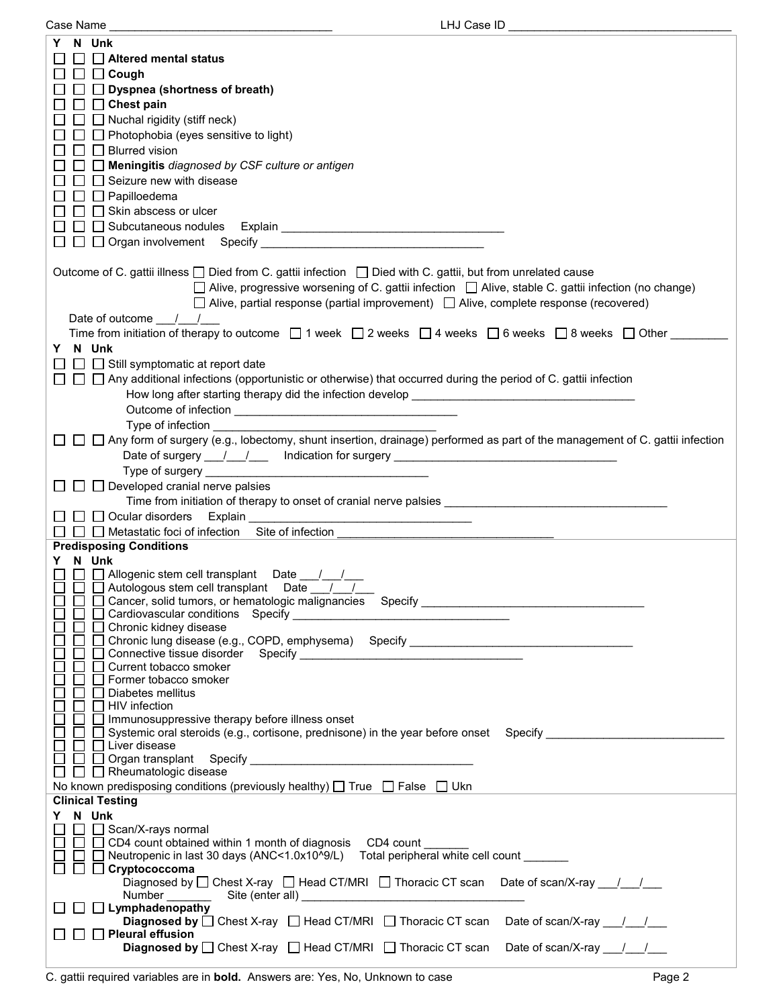| Case Name                                                                                                                                                                                                                      | LHJ Case ID                                                                                           |
|--------------------------------------------------------------------------------------------------------------------------------------------------------------------------------------------------------------------------------|-------------------------------------------------------------------------------------------------------|
| Y N Unk                                                                                                                                                                                                                        |                                                                                                       |
|                                                                                                                                                                                                                                |                                                                                                       |
| Altered mental status                                                                                                                                                                                                          |                                                                                                       |
| $\Box$ $\Box$ Cough                                                                                                                                                                                                            |                                                                                                       |
| $\Box$ $\Box$ Dyspnea (shortness of breath)                                                                                                                                                                                    |                                                                                                       |
| $\Box$ $\Box$ Chest pain                                                                                                                                                                                                       |                                                                                                       |
| $\Box$ Nuchal rigidity (stiff neck)                                                                                                                                                                                            |                                                                                                       |
| $\Box$ Photophobia (eyes sensitive to light)                                                                                                                                                                                   |                                                                                                       |
|                                                                                                                                                                                                                                |                                                                                                       |
| $\Box$ Blurred vision                                                                                                                                                                                                          |                                                                                                       |
| $\Box$ Meningitis diagnosed by CSF culture or antigen                                                                                                                                                                          |                                                                                                       |
| $\Box~\Box$ Seizure new with disease                                                                                                                                                                                           |                                                                                                       |
| $\Box\ \Box$ Papilloedema                                                                                                                                                                                                      |                                                                                                       |
| $\Box$ $\Box$ Skin abscess or ulcer                                                                                                                                                                                            |                                                                                                       |
|                                                                                                                                                                                                                                |                                                                                                       |
|                                                                                                                                                                                                                                |                                                                                                       |
|                                                                                                                                                                                                                                |                                                                                                       |
|                                                                                                                                                                                                                                |                                                                                                       |
| Outcome of C. gattii illness □ Died from C. gattii infection □ Died with C. gattii, but from unrelated cause                                                                                                                   |                                                                                                       |
|                                                                                                                                                                                                                                | □ Alive, progressive worsening of C. gattii infection □ Alive, stable C. gattii infection (no change) |
| $\Box$ Alive, partial response (partial improvement) $\Box$ Alive, complete response (recovered)                                                                                                                               |                                                                                                       |
|                                                                                                                                                                                                                                |                                                                                                       |
| Date of outcome / /                                                                                                                                                                                                            |                                                                                                       |
| Time from initiation of therapy to outcome $\Box$ 1 week $\Box$ 2 weeks $\Box$ 4 weeks $\Box$ 6 weeks $\Box$ 8 weeks $\Box$ Other                                                                                              |                                                                                                       |
| Y N Unk                                                                                                                                                                                                                        |                                                                                                       |
| $\Box$ Still symptomatic at report date                                                                                                                                                                                        |                                                                                                       |
| $\Box~\Box~\Box$ Any additional infections (opportunistic or otherwise) that occurred during the period of C. gattii infection                                                                                                 |                                                                                                       |
|                                                                                                                                                                                                                                |                                                                                                       |
| How long after starting therapy did the infection develop ______________________                                                                                                                                               |                                                                                                       |
|                                                                                                                                                                                                                                |                                                                                                       |
| Type of infection                                                                                                                                                                                                              |                                                                                                       |
| $\Box~\Box~$ Any form of surgery (e.g., lobectomy, shunt insertion, drainage) performed as part of the management of C. gattii infection                                                                                       |                                                                                                       |
| Date of surgery ___/___/ ___ Indication for surgery ____________________________                                                                                                                                               |                                                                                                       |
| Type of surgery ________                                                                                                                                                                                                       |                                                                                                       |
|                                                                                                                                                                                                                                |                                                                                                       |
| $\Box$ Developed cranial nerve palsies                                                                                                                                                                                         |                                                                                                       |
| Time from initiation of therapy to onset of cranial nerve palsies _______________                                                                                                                                              |                                                                                                       |
| $\Box$ Ocular disorders Explain                                                                                                                                                                                                |                                                                                                       |
| $\Box$ Metastatic foci of infection Site of infection                                                                                                                                                                          |                                                                                                       |
| <b>Predisposing Conditions</b>                                                                                                                                                                                                 |                                                                                                       |
| Y N Unk                                                                                                                                                                                                                        |                                                                                                       |
| □ □ Allogenic stem cell transplant Date / /                                                                                                                                                                                    |                                                                                                       |
| □ □ Autologous stem cell transplant Date                                                                                                                                                                                       |                                                                                                       |
| Cancer, solid tumors, or hematologic malignancies Specify entertainment and the control of the control of the control of the control of the control of the control of the control of the control of the control of the control |                                                                                                       |
| □ Cardiovascular conditions Specify                                                                                                                                                                                            |                                                                                                       |
| Chronic kidney disease                                                                                                                                                                                                         |                                                                                                       |
| Chronic lung disease (e.g., COPD, emphysema) Specify ___________________________                                                                                                                                               |                                                                                                       |
|                                                                                                                                                                                                                                |                                                                                                       |
| Current tobacco smoker                                                                                                                                                                                                         |                                                                                                       |
| Former tobacco smoker                                                                                                                                                                                                          |                                                                                                       |
| Diabetes mellitus                                                                                                                                                                                                              |                                                                                                       |
| $\Box$ HIV infection                                                                                                                                                                                                           |                                                                                                       |
| $\Box$ Immunosuppressive therapy before illness onset                                                                                                                                                                          |                                                                                                       |
| $\square$ Systemic oral steroids (e.g., cortisone, prednisone) in the year before onset Specify                                                                                                                                |                                                                                                       |
| □ Liver disease                                                                                                                                                                                                                |                                                                                                       |
|                                                                                                                                                                                                                                |                                                                                                       |
| $\Box$ Rheumatologic disease                                                                                                                                                                                                   |                                                                                                       |
| No known predisposing conditions (previously healthy) $\Box$ True $\Box$ False $\Box$ Ukn                                                                                                                                      |                                                                                                       |
|                                                                                                                                                                                                                                |                                                                                                       |
| <b>Clinical Testing</b>                                                                                                                                                                                                        |                                                                                                       |
| Y N Unk                                                                                                                                                                                                                        |                                                                                                       |
| □ Scan/X-rays normal                                                                                                                                                                                                           |                                                                                                       |
| □ □ CD4 count obtained within 1 month of diagnosis CD4 count                                                                                                                                                                   |                                                                                                       |
| □ Neutropenic in last 30 days (ANC<1.0x10^9/L) Total peripheral white cell count                                                                                                                                               |                                                                                                       |
| $\Box$ Cryptococcoma                                                                                                                                                                                                           |                                                                                                       |
| Diagnosed by $\Box$ Chest X-ray $\Box$ Head CT/MRI $\Box$ Thoracic CT scan Date of scan/X-ray $\Box$ /                                                                                                                         |                                                                                                       |
|                                                                                                                                                                                                                                |                                                                                                       |
| $\Box$ Lymphadenopathy                                                                                                                                                                                                         |                                                                                                       |
| <b>Diagnosed by</b> $\Box$ Chest X-ray $\Box$ Head CT/MRI $\Box$ Thoracic CT scan Date of scan/X-ray $\Box$                                                                                                                    |                                                                                                       |
| $\Box$ Pleural effusion                                                                                                                                                                                                        |                                                                                                       |
| <b>Diagnosed by</b> $\Box$ Chest X-ray $\Box$ Head CT/MRI $\Box$ Thoracic CT scan                                                                                                                                              | Date of scan/X-ray $\frac{1}{\sqrt{2}}$                                                               |
|                                                                                                                                                                                                                                |                                                                                                       |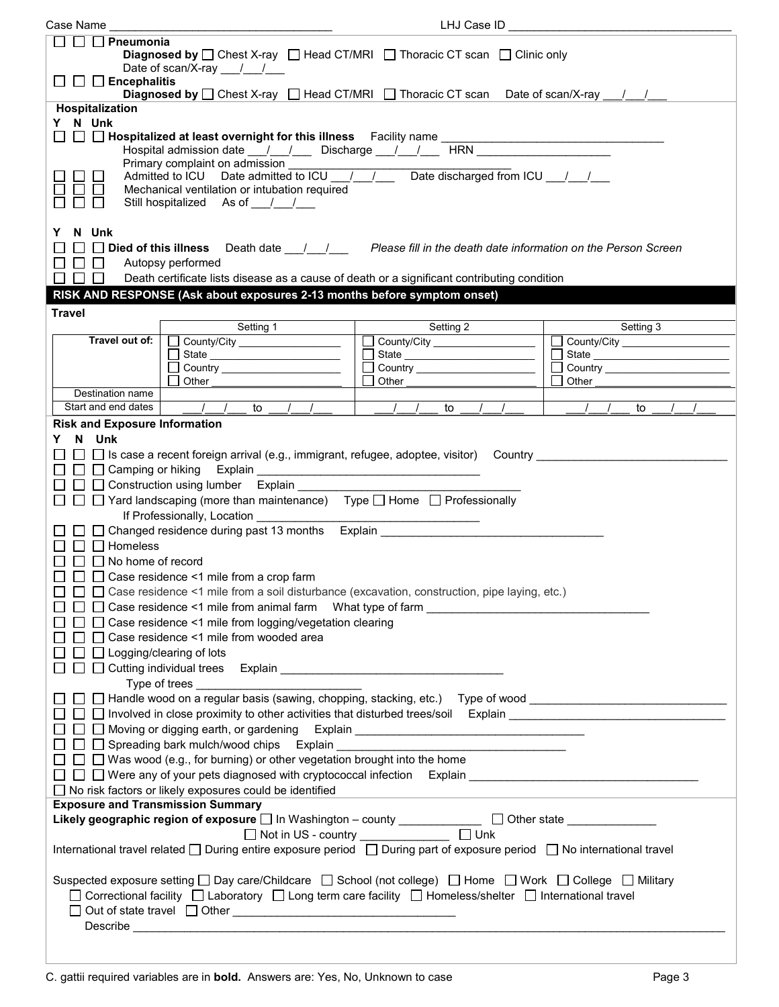| Case Name                                                                                                                                                                                                                                                                                                                                                                                                                                                                                                                                                                                                                                                                                                                                                                                                                                                                                                                                                                                                                                                                                                                                                                                                                                                                                                                                                                                                       | LHJ Case ID                         |                                 |  |  |
|-----------------------------------------------------------------------------------------------------------------------------------------------------------------------------------------------------------------------------------------------------------------------------------------------------------------------------------------------------------------------------------------------------------------------------------------------------------------------------------------------------------------------------------------------------------------------------------------------------------------------------------------------------------------------------------------------------------------------------------------------------------------------------------------------------------------------------------------------------------------------------------------------------------------------------------------------------------------------------------------------------------------------------------------------------------------------------------------------------------------------------------------------------------------------------------------------------------------------------------------------------------------------------------------------------------------------------------------------------------------------------------------------------------------|-------------------------------------|---------------------------------|--|--|
| $\Box$ $\Box$ Pneumonia<br><b>Diagnosed by</b> $\Box$ Chest X-ray $\Box$ Head CT/MRI $\Box$ Thoracic CT scan $\Box$ Clinic only<br>Date of scan/X-ray $/$ /                                                                                                                                                                                                                                                                                                                                                                                                                                                                                                                                                                                                                                                                                                                                                                                                                                                                                                                                                                                                                                                                                                                                                                                                                                                     |                                     |                                 |  |  |
| $\Box$ $\Box$ Encephalitis<br><b>Diagnosed by</b> $\Box$ Chest X-ray $\Box$ Head CT/MRI $\Box$ Thoracic CT scan Date of scan/X-ray $\Box$                                                                                                                                                                                                                                                                                                                                                                                                                                                                                                                                                                                                                                                                                                                                                                                                                                                                                                                                                                                                                                                                                                                                                                                                                                                                       |                                     |                                 |  |  |
| Hospitalization<br>Y N Unk<br>Primary complaint on admission<br>Admitted to ICU Date admitted to ICU $\frac{1}{1}$ Date discharged from ICU $\frac{1}{1}$<br>Mechanical ventilation or intubation required<br>Still hospitalized As of / /                                                                                                                                                                                                                                                                                                                                                                                                                                                                                                                                                                                                                                                                                                                                                                                                                                                                                                                                                                                                                                                                                                                                                                      |                                     |                                 |  |  |
| N Unk<br>Y.<br>$\Box$ Died of this illness Death date $\Box$ / Please fill in the death date information on the Person Screen<br>$\Box$<br>Autopsy performed<br>П<br>$\Box$<br>Death certificate lists disease as a cause of death or a significant contributing condition<br>ΙI<br>RISK AND RESPONSE (Ask about exposures 2-13 months before symptom onset)                                                                                                                                                                                                                                                                                                                                                                                                                                                                                                                                                                                                                                                                                                                                                                                                                                                                                                                                                                                                                                                    |                                     |                                 |  |  |
| <b>Travel</b>                                                                                                                                                                                                                                                                                                                                                                                                                                                                                                                                                                                                                                                                                                                                                                                                                                                                                                                                                                                                                                                                                                                                                                                                                                                                                                                                                                                                   |                                     |                                 |  |  |
| Setting 1                                                                                                                                                                                                                                                                                                                                                                                                                                                                                                                                                                                                                                                                                                                                                                                                                                                                                                                                                                                                                                                                                                                                                                                                                                                                                                                                                                                                       | Setting 2                           | Setting 3                       |  |  |
| Travel out of:<br>County/City _________________                                                                                                                                                                                                                                                                                                                                                                                                                                                                                                                                                                                                                                                                                                                                                                                                                                                                                                                                                                                                                                                                                                                                                                                                                                                                                                                                                                 | County/City _______________________ | County/City ___________________ |  |  |
| State __________________________<br>Country _______________________                                                                                                                                                                                                                                                                                                                                                                                                                                                                                                                                                                                                                                                                                                                                                                                                                                                                                                                                                                                                                                                                                                                                                                                                                                                                                                                                             |                                     |                                 |  |  |
| Other                                                                                                                                                                                                                                                                                                                                                                                                                                                                                                                                                                                                                                                                                                                                                                                                                                                                                                                                                                                                                                                                                                                                                                                                                                                                                                                                                                                                           | $\overline{\phantom{a}}$<br>Other   | $\mathbf{I}$<br>Other           |  |  |
| Destination name                                                                                                                                                                                                                                                                                                                                                                                                                                                                                                                                                                                                                                                                                                                                                                                                                                                                                                                                                                                                                                                                                                                                                                                                                                                                                                                                                                                                |                                     |                                 |  |  |
| Start and end dates<br>$\frac{1}{2}$<br>to                                                                                                                                                                                                                                                                                                                                                                                                                                                                                                                                                                                                                                                                                                                                                                                                                                                                                                                                                                                                                                                                                                                                                                                                                                                                                                                                                                      | $\sqrt{1}$<br>$\sqrt{1}$<br>to      | $\frac{1}{2}$<br>to             |  |  |
| <b>Risk and Exposure Information</b><br>N Unk<br>Y.<br>$\Box$ Is case a recent foreign arrival (e.g., immigrant, refugee, adoptee, visitor) Country $\Box$<br>□ □ Construction using lumber Explain _____<br>□ □ Yard landscaping (more than maintenance) Type □ Home □ Professionally<br>If Professionally, Location ____________<br>$\Box$ $\Box$ Changed residence during past 13 months Explain $\Box$<br>$\square$ Homeless<br>$\Box$ No home of record<br>□ □ Case residence <1 mile from a crop farm<br>□ □ □ Case residence <1 mile from a soil disturbance (excavation, construction, pipe laying, etc.)<br>$\Box$ $\Box$ Case residence <1 mile from animal farm $\,$ What type of farm $\,$<br>$\Box$ Case residence <1 mile from logging/vegetation clearing<br>$\Box$ $\Box$ Case residence <1 mile from wooded area<br>$\Box$ $\Box$ Logging/clearing of lots<br>□ Spreading bark mulch/wood chips Explain example and the set of the set of the set of the set of the set of the set of the set of the set of the set of the set of the set of the set of the set of the set of the set of th<br>$\Box$ Was wood (e.g., for burning) or other vegetation brought into the home<br>$\Box$ $\Box$ $\Box$ Were any of your pets diagnosed with cryptococcal infection $\Box$ Explain $\_\_\_\_\_\_\_\_\_\_\_\_\_\_\_\_\_\_\_\_\_$<br>$\Box$ No risk factors or likely exposures could be identified |                                     |                                 |  |  |
| <b>Exposure and Transmission Summary</b>                                                                                                                                                                                                                                                                                                                                                                                                                                                                                                                                                                                                                                                                                                                                                                                                                                                                                                                                                                                                                                                                                                                                                                                                                                                                                                                                                                        |                                     |                                 |  |  |
| Likely geographic region of exposure $\square$ In Washington – county $\square$ $\square$ Other state $\square$<br>$\square$ Unk                                                                                                                                                                                                                                                                                                                                                                                                                                                                                                                                                                                                                                                                                                                                                                                                                                                                                                                                                                                                                                                                                                                                                                                                                                                                                |                                     |                                 |  |  |
| International travel related □ During entire exposure period □ During part of exposure period □ No international travel                                                                                                                                                                                                                                                                                                                                                                                                                                                                                                                                                                                                                                                                                                                                                                                                                                                                                                                                                                                                                                                                                                                                                                                                                                                                                         |                                     |                                 |  |  |
| Suspected exposure setting $\square$ Day care/Childcare $\square$ School (not college) $\square$ Home $\square$ Work $\square$ College $\square$ Military<br>□ Correctional facility □ Laboratory □ Long term care facility □ Homeless/shelter □ International travel                                                                                                                                                                                                                                                                                                                                                                                                                                                                                                                                                                                                                                                                                                                                                                                                                                                                                                                                                                                                                                                                                                                                           |                                     |                                 |  |  |